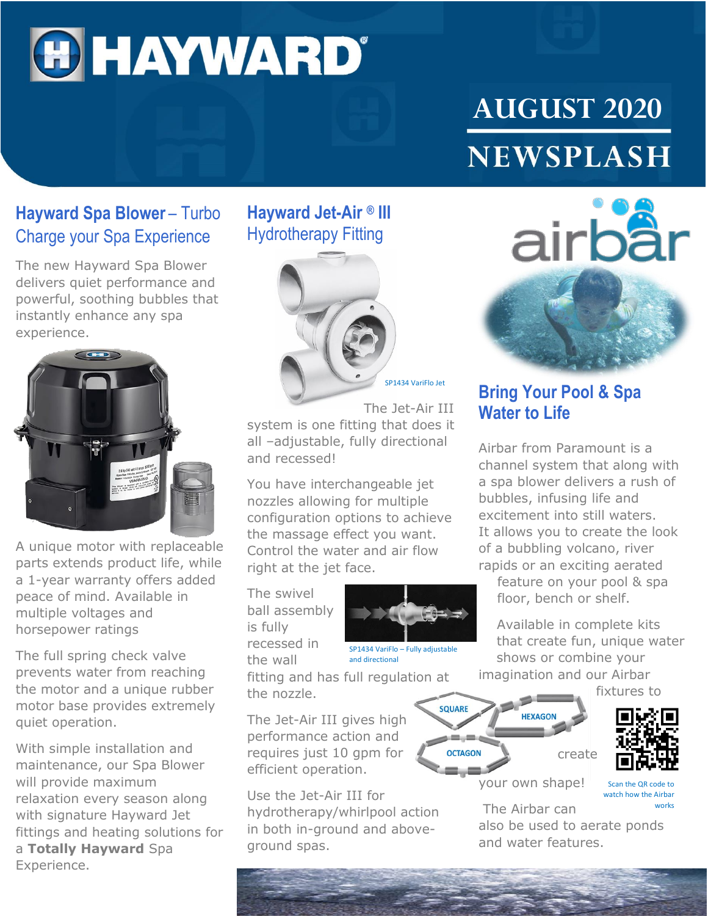# **OHAYWARD®**

## **AUGUST 2020 NEWSPLASH**

#### **Hayward Spa Blower** – Turbo Charge your Spa Experience

The new Hayward Spa Blower delivers quiet performance and powerful, soothing bubbles that instantly enhance any spa experience.



A unique motor with replaceable parts extends product life, while a 1-year warranty offers added peace of mind. Available in multiple voltages and horsepower ratings

The full spring check valve prevents water from reaching the motor and a unique rubber motor base provides extremely quiet operation.

With simple installation and maintenance, our Spa Blower will provide maximum relaxation every season along with signature Hayward Jet fittings and heating solutions for a **Totally Hayward** Spa Experience.

### **Hayward Jet-Air ® III** Hydrotherapy Fitting



The Jet-Air III system is one fitting that does it all –adjustable, fully directional and recessed!

You have interchangeable jet nozzles allowing for multiple configuration options to achieve the massage effect you want. Control the water and air flow right at the jet face.

The swivel ball assembly is fully recessed in the wall



**SQUARE** 

SP1434 VariFlo – Fully adjustable and directional

fitting and has full regulation at the nozzle.

The Jet-Air III gives high performance action and requires just 10 gpm for efficient operation.

Use the Jet-Air III for hydrotherapy/whirlpool action in both in-ground and aboveground spas.



#### **Bring Your Pool & Spa Water to Life**

Airbar from Paramount is a channel system that along with a spa blower delivers a rush of bubbles, infusing life and excitement into still waters. It allows you to create the look of a bubbling volcano, river rapids or an exciting aerated

feature on your pool & spa floor, bench or shelf.

Available in complete kits that create fun, unique water shows or combine your imagination and our Airbar

fixtures to



Scan the QR code to your own shape!

create

watch how the Airbar works

The Airbar can also be used to aerate ponds and water features.